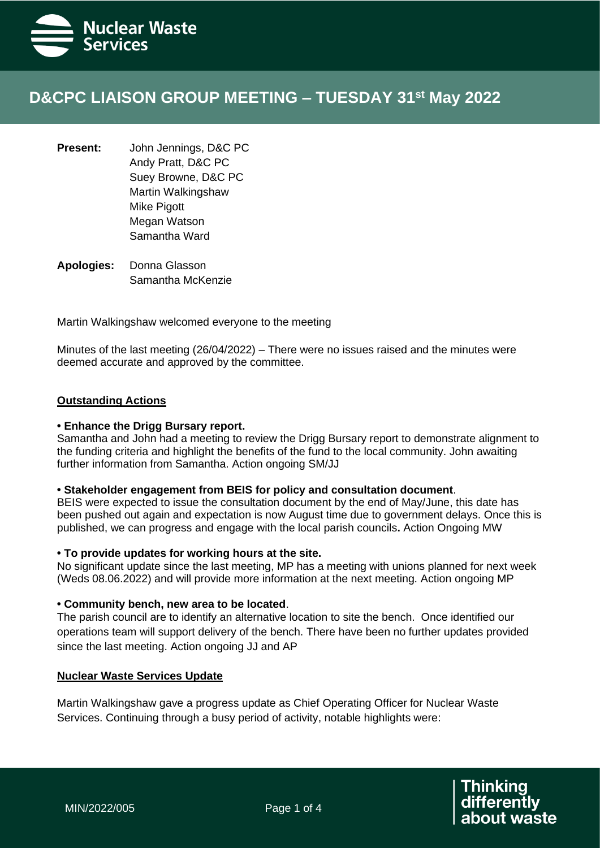

# **D&CPC LIAISON GROUP MEETING – TUESDAY 31st May 2022**

- **Present:** John Jennings, D&C PC Andy Pratt, D&C PC Suey Browne, D&C PC Martin Walkingshaw Mike Pigott Megan Watson Samantha Ward
- **Apologies:** Donna Glasson Samantha McKenzie

Martin Walkingshaw welcomed everyone to the meeting

Minutes of the last meeting (26/04/2022) – There were no issues raised and the minutes were deemed accurate and approved by the committee.

### **Outstanding Actions**

#### **• Enhance the Drigg Bursary report.**

Samantha and John had a meeting to review the Drigg Bursary report to demonstrate alignment to the funding criteria and highlight the benefits of the fund to the local community. John awaiting further information from Samantha. Action ongoing SM/JJ

## **• Stakeholder engagement from BEIS for policy and consultation document**.

BEIS were expected to issue the consultation document by the end of May/June, this date has been pushed out again and expectation is now August time due to government delays. Once this is published, we can progress and engage with the local parish councils**.** Action Ongoing MW

#### **• To provide updates for working hours at the site.**

No significant update since the last meeting, MP has a meeting with unions planned for next week (Weds 08.06.2022) and will provide more information at the next meeting. Action ongoing MP

#### **• Community bench, new area to be located**.

The parish council are to identify an alternative location to site the bench. Once identified our operations team will support delivery of the bench. There have been no further updates provided since the last meeting. Action ongoing JJ and AP

#### **Nuclear Waste Services Update**

Martin Walkingshaw gave a progress update as Chief Operating Officer for Nuclear Waste Services. Continuing through a busy period of activity, notable highlights were: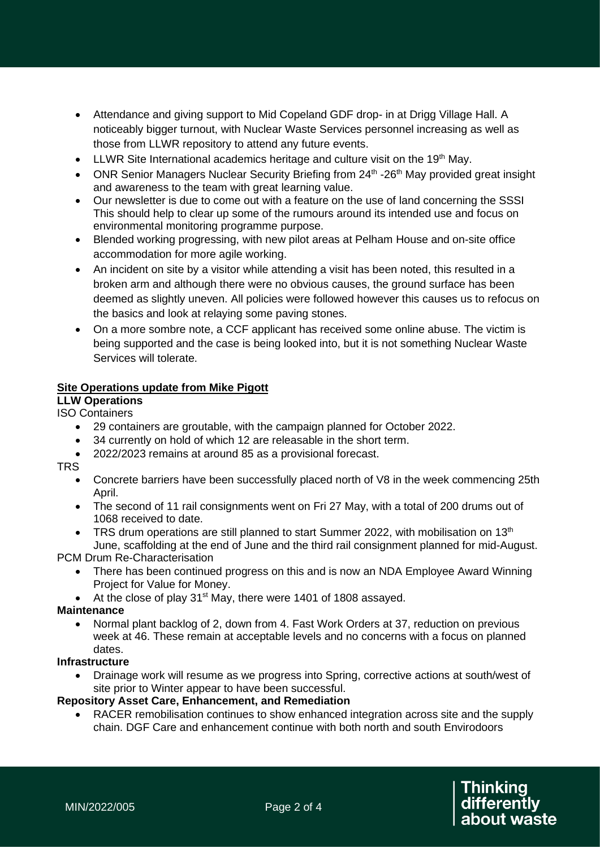- Attendance and giving support to Mid Copeland GDF drop- in at Drigg Village Hall. A noticeably bigger turnout, with Nuclear Waste Services personnel increasing as well as those from LLWR repository to attend any future events.
- LLWR Site International academics heritage and culture visit on the  $19<sup>th</sup>$  May.
- ONR Senior Managers Nuclear Security Briefing from 24<sup>th</sup> -26<sup>th</sup> May provided great insight and awareness to the team with great learning value.
- Our newsletter is due to come out with a feature on the use of land concerning the SSSI This should help to clear up some of the rumours around its intended use and focus on environmental monitoring programme purpose.
- Blended working progressing, with new pilot areas at Pelham House and on-site office accommodation for more agile working.
- An incident on site by a visitor while attending a visit has been noted, this resulted in a broken arm and although there were no obvious causes, the ground surface has been deemed as slightly uneven. All policies were followed however this causes us to refocus on the basics and look at relaying some paving stones.
- On a more sombre note, a CCF applicant has received some online abuse. The victim is being supported and the case is being looked into, but it is not something Nuclear Waste Services will tolerate.

# **Site Operations update from Mike Pigott**

**LLW Operations**

- ISO Containers
	- 29 containers are groutable, with the campaign planned for October 2022.
	- 34 currently on hold of which 12 are releasable in the short term.
	- 2022/2023 remains at around 85 as a provisional forecast.

TRS

- Concrete barriers have been successfully placed north of V8 in the week commencing 25th April.
- The second of 11 rail consignments went on Fri 27 May, with a total of 200 drums out of 1068 received to date.
- TRS drum operations are still planned to start Summer 2022, with mobilisation on  $13<sup>th</sup>$ June, scaffolding at the end of June and the third rail consignment planned for mid-August.

PCM Drum Re-Characterisation

- There has been continued progress on this and is now an NDA Employee Award Winning Project for Value for Money.
- At the close of play 31<sup>st</sup> May, there were 1401 of 1808 assayed.

**Maintenance**

• Normal plant backlog of 2, down from 4. Fast Work Orders at 37, reduction on previous week at 46. These remain at acceptable levels and no concerns with a focus on planned dates.

# **Infrastructure**

• Drainage work will resume as we progress into Spring, corrective actions at south/west of site prior to Winter appear to have been successful.

# **Repository Asset Care, Enhancement, and Remediation**

• RACER remobilisation continues to show enhanced integration across site and the supply chain. DGF Care and enhancement continue with both north and south Envirodoors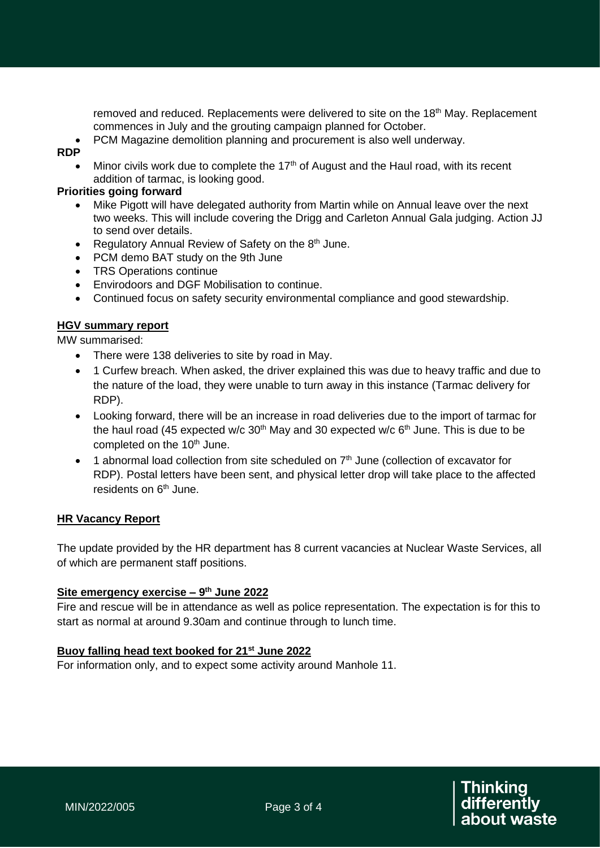removed and reduced. Replacements were delivered to site on the 18th May. Replacement commences in July and the grouting campaign planned for October.

• PCM Magazine demolition planning and procurement is also well underway.

## **RDP**

• Minor civils work due to complete the 17<sup>th</sup> of August and the Haul road, with its recent addition of tarmac, is looking good.

## **Priorities going forward**

- Mike Pigott will have delegated authority from Martin while on Annual leave over the next two weeks. This will include covering the Drigg and Carleton Annual Gala judging. Action JJ to send over details.
- Regulatory Annual Review of Safety on the  $8<sup>th</sup>$  June.
- PCM demo BAT study on the 9th June
- TRS Operations continue
- Envirodoors and DGF Mobilisation to continue.
- Continued focus on safety security environmental compliance and good stewardship.

# **HGV summary report**

MW summarised:

- There were 138 deliveries to site by road in May.
- 1 Curfew breach. When asked, the driver explained this was due to heavy traffic and due to the nature of the load, they were unable to turn away in this instance (Tarmac delivery for RDP).
- Looking forward, there will be an increase in road deliveries due to the import of tarmac for the haul road (45 expected w/c  $30<sup>th</sup>$  May and 30 expected w/c  $6<sup>th</sup>$  June. This is due to be completed on the 10<sup>th</sup> June.
- 1 abnormal load collection from site scheduled on  $7<sup>th</sup>$  June (collection of excavator for RDP). Postal letters have been sent, and physical letter drop will take place to the affected residents on  $6<sup>th</sup>$  June.

# **HR Vacancy Report**

The update provided by the HR department has 8 current vacancies at Nuclear Waste Services, all of which are permanent staff positions.

### **Site emergency exercise – 9 th June 2022**

Fire and rescue will be in attendance as well as police representation. The expectation is for this to start as normal at around 9.30am and continue through to lunch time.

# **Buoy falling head text booked for 21st June 2022**

For information only, and to expect some activity around Manhole 11.